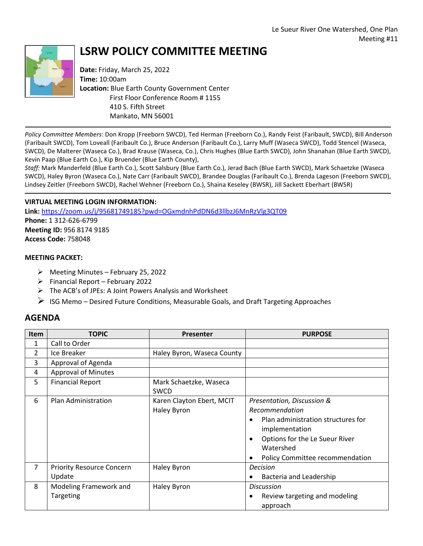

## **LSRW POLICY COMMITTEE MEETING**

**Date:** Friday, March 25, 2022 **Time:** 10:00am **Location:** Blue Earth County Government Center First Floor Conference Room # 1155 410 S. Fifth Street Mankato, MN 56001

*Policy Committee Members*: Don Kropp (Freeborn SWCD), Ted Herman (Freeborn Co.), Randy Feist (Faribault, SWCD), Bill Anderson (Faribault SWCD), Tom Loveall (Faribault Co.), Bruce Anderson (Faribault Co.), Larry Muff (Waseca SWCD), Todd Stencel (Waseca, SWCD), De Malterer (Waseca Co.), Brad Krause (Waseca, Co.), Chris Hughes (Blue Earth SWCD), John Shanahan (Blue Earth SWCD), Kevin Paap (Blue Earth Co.), Kip Bruender (Blue Earth County),

*Staff:* Mark Manderfeld (Blue Earth Co.), Scott Salsbury (Blue Earth Co.), Jerad Bach (Blue Earth SWCD), Mark Schaetzke (Waseca SWCD), Haley Byron (Waseca Co.), Nate Carr (Faribault SWCD), Brandee Douglas (Faribault Co.), Brenda Lageson (Freeborn SWCD), Lindsey Zeitler (Freeborn SWCD), Rachel Wehner (Freeborn Co.), Shaina Keseley (BWSR), Jill Sackett Eberhart (BWSR)

## **VIRTUAL MEETING LOGIN INFORMATION:**

**Link:** <https://zoom.us/j/95681749185?pwd=OGxmdnhPdDN6d3llbzJ6MnRzVlg3QT09> **Phone:** 1 312-626-6799 **Meeting ID:** 956 8174 9185 **Access Code:** 758048

## **MEETING PACKET:**

- $\triangleright$  Meeting Minutes February 25, 2022
- $\triangleright$  Financial Report February 2022
- $\triangleright$  The ACB's of JPEs: A Joint Powers Analysis and Worksheet
- $\triangleright$  ISG Memo Desired Future Conditions, Measurable Goals, and Draft Targeting Approaches

## **AGENDA**

| <b>Item</b>    | <b>TOPIC</b>                               | Presenter                                | <b>PURPOSE</b>                                                                                                                                                                                                        |
|----------------|--------------------------------------------|------------------------------------------|-----------------------------------------------------------------------------------------------------------------------------------------------------------------------------------------------------------------------|
| 1              | Call to Order                              |                                          |                                                                                                                                                                                                                       |
| $\overline{2}$ | Ice Breaker                                | Haley Byron, Waseca County               |                                                                                                                                                                                                                       |
| 3              | Approval of Agenda                         |                                          |                                                                                                                                                                                                                       |
| 4              | <b>Approval of Minutes</b>                 |                                          |                                                                                                                                                                                                                       |
| 5              | <b>Financial Report</b>                    | Mark Schaetzke, Waseca<br><b>SWCD</b>    |                                                                                                                                                                                                                       |
| 6              | Plan Administration                        | Karen Clayton Ebert, MCIT<br>Haley Byron | Presentation, Discussion &<br>Recommendation<br>Plan administration structures for<br>$\bullet$<br>implementation<br>Options for the Le Sueur River<br>$\bullet$<br>Watershed<br>Policy Committee recommendation<br>٠ |
| 7              | <b>Priority Resource Concern</b><br>Update | Haley Byron                              | <b>Decision</b><br>Bacteria and Leadership                                                                                                                                                                            |
| 8              | Modeling Framework and<br>Targeting        | Haley Byron                              | <b>Discussion</b><br>Review targeting and modeling<br>٠<br>approach                                                                                                                                                   |